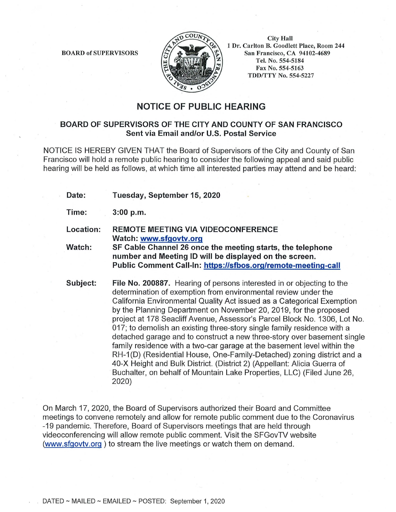BOARD of SUPERVISORS



City Hall 1 Dr. Carlton B. Goodlett Place, Room 244 San Francisco, CA 94102-4689 Tel. No. 554-5184 Fax No. 554-5163 TDD/TTY No. 554-5227

## **NOTICE OF PUBLIC HEARING**

## **BOARD OF SUPERVISORS OF THE CITY AND COUNTY OF SAN FRANCISCO Sent via Email and/or U.S. Postal Service**

NOTICE IS HEREBY GIVEN THAT the Board of Supervisors of the City and County of San Francisco will hold a remote public hearing to consider the following appeal and said public hearing will be held as follows, at which time all interested parties may attend and be heard:

- **Date: Tuesday, September 15, 2020**
- **Time: 3:00 p.m.**
- **Location: REMOTE MEETING VIA VIDEOCONFERENCE Watch: www.sfgovtv.org**
- **Watch: SF Cable Channel 26 once the meeting starts, the telephone number and Meeting ID will be displayed on the screen. Public Comment Call-In: https://sfbos.org/remote-meeting-call**

**Subject: File No. 200887.** Hearing of persons interested in or objecting to the determination of exemption from environmental review under the California Environmental Quality Act issued as a Categorical Exemption by the Planning Department on November 20, 2019, for the proposed project at 178 Seacliff Avenue, Assessor's Parcel Block No. 1306, Lot No. 017; to demolish an existing three-story single family residence with a detached garage and to construct a new three-story over basement single family residence with a two-car garage at the basement level within the RH-1 (D) (Residential House, One-Family-Detached) zoning district and a 40-X Height and Bulk District. (District 2) (Appellant: Alicia Guerra of Buchalter, on behalf of Mountain Lake Properties, LLC) (Filed June 26, 2020)

On March 17, 2020, the Board of Supervisors authorized their Board and Committee meetings to convene remotely and allow for remote public comment due to the Coronavirus -19 pandemic. Therefore, Board of Supervisors meetings that are held through videoconferencing will allow remote public comment. Visit the SFGovTV website (www.sfgovtv.org ) to stream the live meetings or watch them on demand.